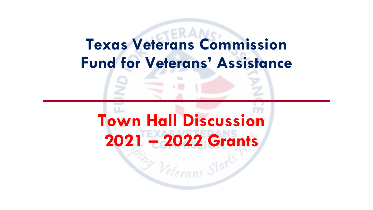## **Texas Veterans Commission Fund for Veterans' Assistance**

## **Town Hall Discussion 2021 – 2022 Grants**

 $\mathcal{Z}_{P}$  Veterans Sto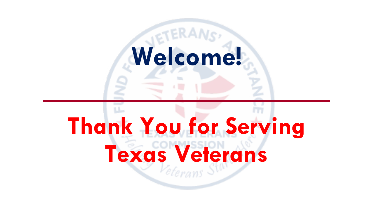# **Welcome!**

# **Thank You for Serving Texas Veterans**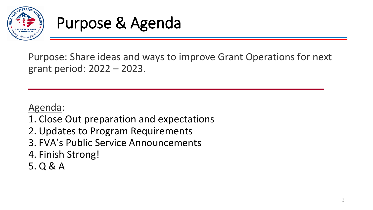

### Purpose & Agenda

Purpose: Share ideas and ways to improve Grant Operations for next grant period: 2022 – 2023.

#### Agenda:

- 1. Close Out preparation and expectations
- 2. Updates to Program Requirements
- 3. FVA's Public Service Announcements
- 4. Finish Strong!
- 5. Q & A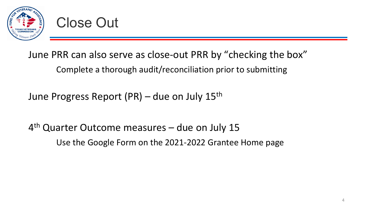

#### June PRR can also serve as close-out PRR by "checking the box" Complete a thorough audit/reconciliation prior to submitting

June Progress Report (PR) – due on July 15th

4th Quarter Outcome measures – due on July 15 Use the Google Form on the 2021-2022 Grantee Home page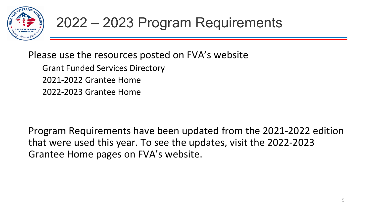

Please use the resources posted on FVA's website

Grant Funded Services Directory 2021-2022 Grantee Home 2022-2023 Grantee Home

Program Requirements have been updated from the 2021-2022 edition that were used this year. To see the updates, visit the 2022-2023 Grantee Home pages on FVA's website.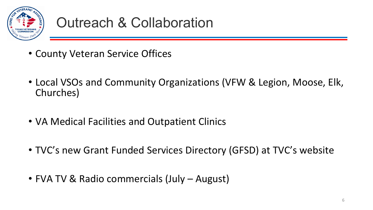

#### Outreach & Collaboration

- County Veteran Service Offices
- Local VSOs and Community Organizations (VFW & Legion, Moose, Elk, Churches)
- VA Medical Facilities and Outpatient Clinics
- TVC's new Grant Funded Services Directory (GFSD) at TVC's website
- FVA TV & Radio commercials (July August)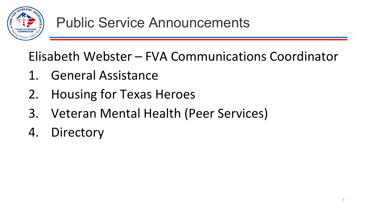

Elisabeth Webster – FVA Communications Coordinator

- 1. General Assistance
- 2. Housing for Texas Heroes
- 3. Veteran Mental Health (Peer Services)
- 4. Directory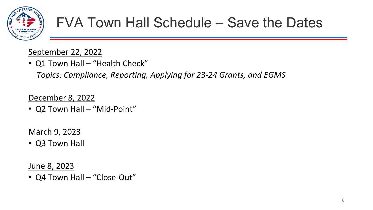

#### FVA Town Hall Schedule – Save the Dates

#### September 22, 2022

• Q1 Town Hall – "Health Check"

*Topics: Compliance, Reporting, Applying for 23-24 Grants, and EGMS*

December 8, 2022

• Q2 Town Hall - "Mid-Point"

March 9, 2023

• Q3 Town Hall

June 8, 2023

• Q4 Town Hall – "Close-Out"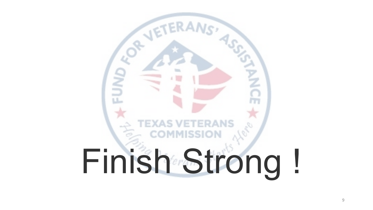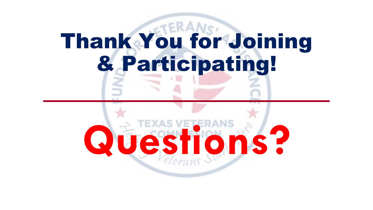# Thank You for Joining & Participating!